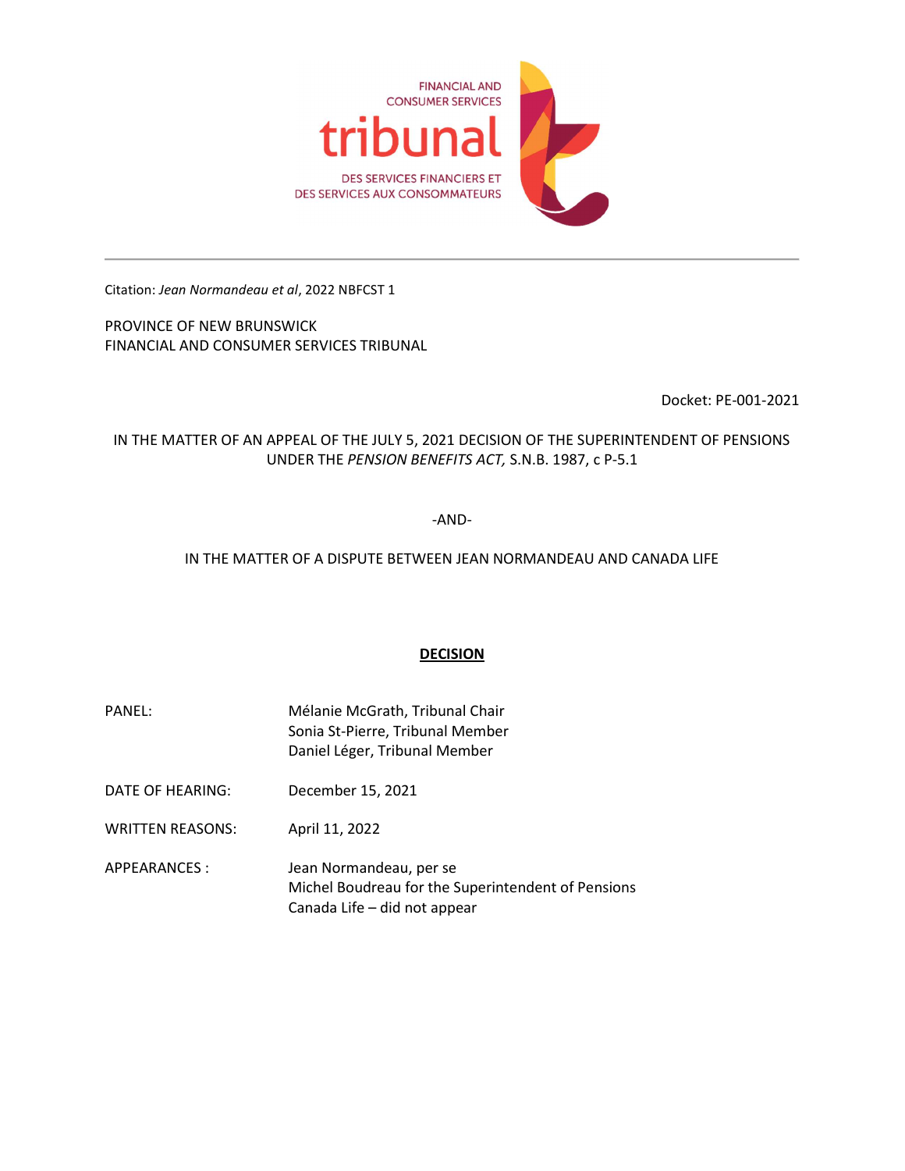

Citation: Jean Normandeau et al, 2022 NBFCST 1

PROVINCE OF NEW BRUNSWICK FINANCIAL AND CONSUMER SERVICES TRIBUNAL

Docket: PE-001-2021

IN THE MATTER OF AN APPEAL OF THE JULY 5, 2021 DECISION OF THE SUPERINTENDENT OF PENSIONS UNDER THE PENSION BENEFITS ACT, S.N.B. 1987, c P-5.1

-AND-

## IN THE MATTER OF A DISPUTE BETWEEN JEAN NORMANDEAU AND CANADA LIFE

# DECISION

- PANEL: Mélanie McGrath, Tribunal Chair Sonia St-Pierre, Tribunal Member Daniel Léger, Tribunal Member
- DATE OF HEARING: December 15, 2021
- WRITTEN REASONS: April 11, 2022
- APPEARANCES : Jean Normandeau, per se Michel Boudreau for the Superintendent of Pensions Canada Life – did not appear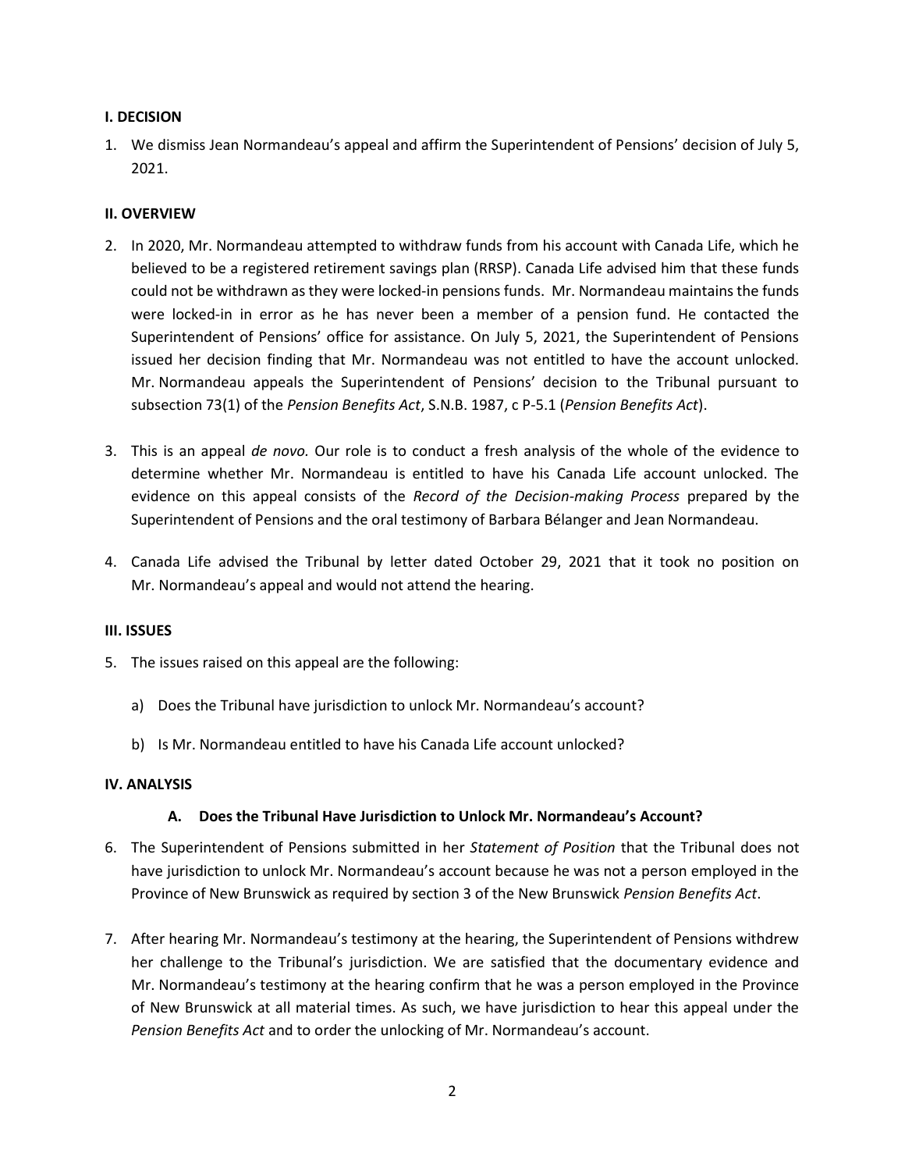### I. DECISION

1. We dismiss Jean Normandeau's appeal and affirm the Superintendent of Pensions' decision of July 5, 2021.

#### II. OVERVIEW

- 2. In 2020, Mr. Normandeau attempted to withdraw funds from his account with Canada Life, which he believed to be a registered retirement savings plan (RRSP). Canada Life advised him that these funds could not be withdrawn as they were locked-in pensions funds. Mr. Normandeau maintains the funds were locked-in in error as he has never been a member of a pension fund. He contacted the Superintendent of Pensions' office for assistance. On July 5, 2021, the Superintendent of Pensions issued her decision finding that Mr. Normandeau was not entitled to have the account unlocked. Mr. Normandeau appeals the Superintendent of Pensions' decision to the Tribunal pursuant to subsection 73(1) of the Pension Benefits Act, S.N.B. 1987, c P-5.1 (Pension Benefits Act).
- 3. This is an appeal de novo. Our role is to conduct a fresh analysis of the whole of the evidence to determine whether Mr. Normandeau is entitled to have his Canada Life account unlocked. The evidence on this appeal consists of the Record of the Decision-making Process prepared by the Superintendent of Pensions and the oral testimony of Barbara Bélanger and Jean Normandeau.
- 4. Canada Life advised the Tribunal by letter dated October 29, 2021 that it took no position on Mr. Normandeau's appeal and would not attend the hearing.

#### III. ISSUES

- 5. The issues raised on this appeal are the following:
	- a) Does the Tribunal have jurisdiction to unlock Mr. Normandeau's account?
	- b) Is Mr. Normandeau entitled to have his Canada Life account unlocked?

### IV. ANALYSIS

### A. Does the Tribunal Have Jurisdiction to Unlock Mr. Normandeau's Account?

- 6. The Superintendent of Pensions submitted in her Statement of Position that the Tribunal does not have jurisdiction to unlock Mr. Normandeau's account because he was not a person employed in the Province of New Brunswick as required by section 3 of the New Brunswick Pension Benefits Act.
- 7. After hearing Mr. Normandeau's testimony at the hearing, the Superintendent of Pensions withdrew her challenge to the Tribunal's jurisdiction. We are satisfied that the documentary evidence and Mr. Normandeau's testimony at the hearing confirm that he was a person employed in the Province of New Brunswick at all material times. As such, we have jurisdiction to hear this appeal under the Pension Benefits Act and to order the unlocking of Mr. Normandeau's account.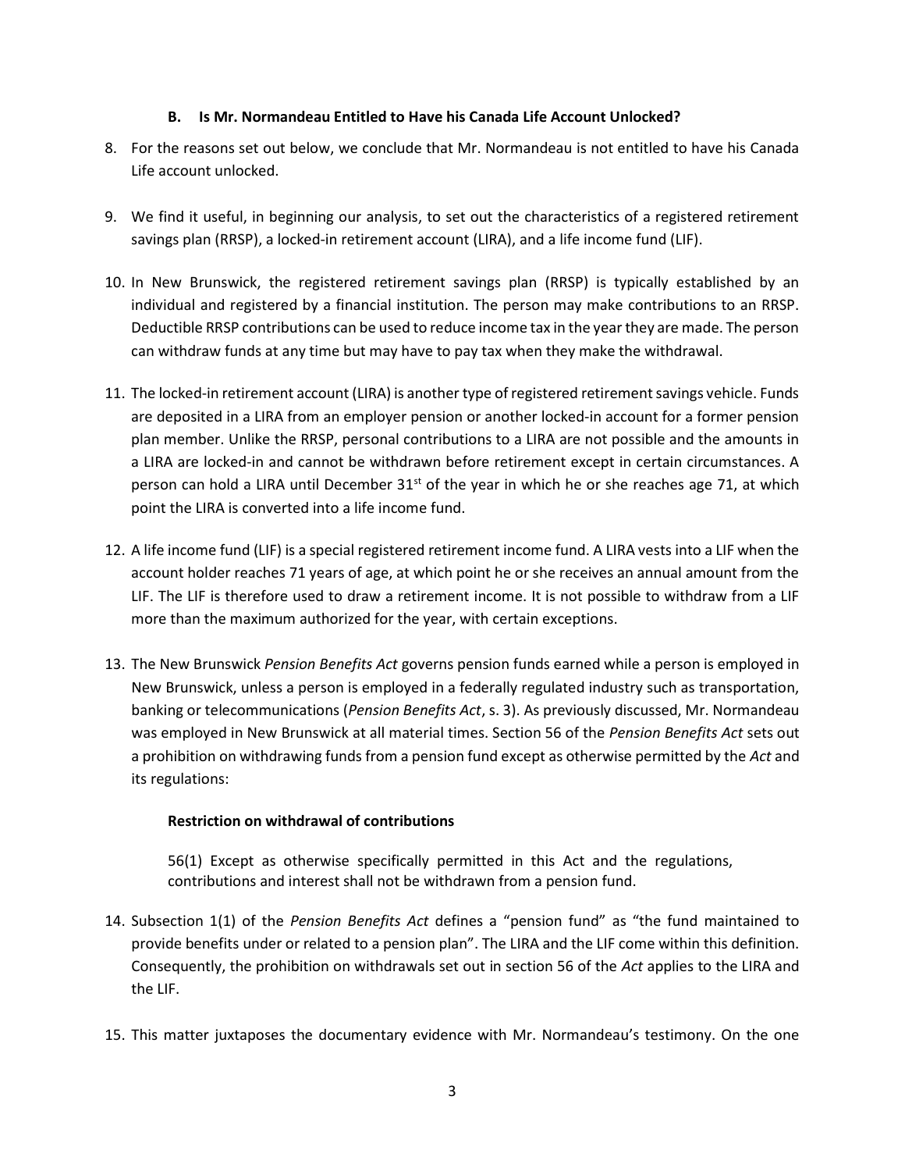### B. Is Mr. Normandeau Entitled to Have his Canada Life Account Unlocked?

- 8. For the reasons set out below, we conclude that Mr. Normandeau is not entitled to have his Canada Life account unlocked.
- 9. We find it useful, in beginning our analysis, to set out the characteristics of a registered retirement savings plan (RRSP), a locked-in retirement account (LIRA), and a life income fund (LIF).
- 10. In New Brunswick, the registered retirement savings plan (RRSP) is typically established by an individual and registered by a financial institution. The person may make contributions to an RRSP. Deductible RRSP contributions can be used to reduce income tax in the year they are made. The person can withdraw funds at any time but may have to pay tax when they make the withdrawal.
- 11. The locked-in retirement account (LIRA) is another type of registered retirement savings vehicle. Funds are deposited in a LIRA from an employer pension or another locked-in account for a former pension plan member. Unlike the RRSP, personal contributions to a LIRA are not possible and the amounts in a LIRA are locked-in and cannot be withdrawn before retirement except in certain circumstances. A person can hold a LIRA until December  $31<sup>st</sup>$  of the year in which he or she reaches age 71, at which point the LIRA is converted into a life income fund.
- 12. A life income fund (LIF) is a special registered retirement income fund. A LIRA vests into a LIF when the account holder reaches 71 years of age, at which point he or she receives an annual amount from the LIF. The LIF is therefore used to draw a retirement income. It is not possible to withdraw from a LIF more than the maximum authorized for the year, with certain exceptions.
- 13. The New Brunswick Pension Benefits Act governs pension funds earned while a person is employed in New Brunswick, unless a person is employed in a federally regulated industry such as transportation, banking or telecommunications (Pension Benefits Act, s. 3). As previously discussed, Mr. Normandeau was employed in New Brunswick at all material times. Section 56 of the Pension Benefits Act sets out a prohibition on withdrawing funds from a pension fund except as otherwise permitted by the Act and its regulations:

# Restriction on withdrawal of contributions

56(1) Except as otherwise specifically permitted in this Act and the regulations, contributions and interest shall not be withdrawn from a pension fund.

- 14. Subsection 1(1) of the Pension Benefits Act defines a "pension fund" as "the fund maintained to provide benefits under or related to a pension plan". The LIRA and the LIF come within this definition. Consequently, the prohibition on withdrawals set out in section 56 of the Act applies to the LIRA and the LIF.
- 15. This matter juxtaposes the documentary evidence with Mr. Normandeau's testimony. On the one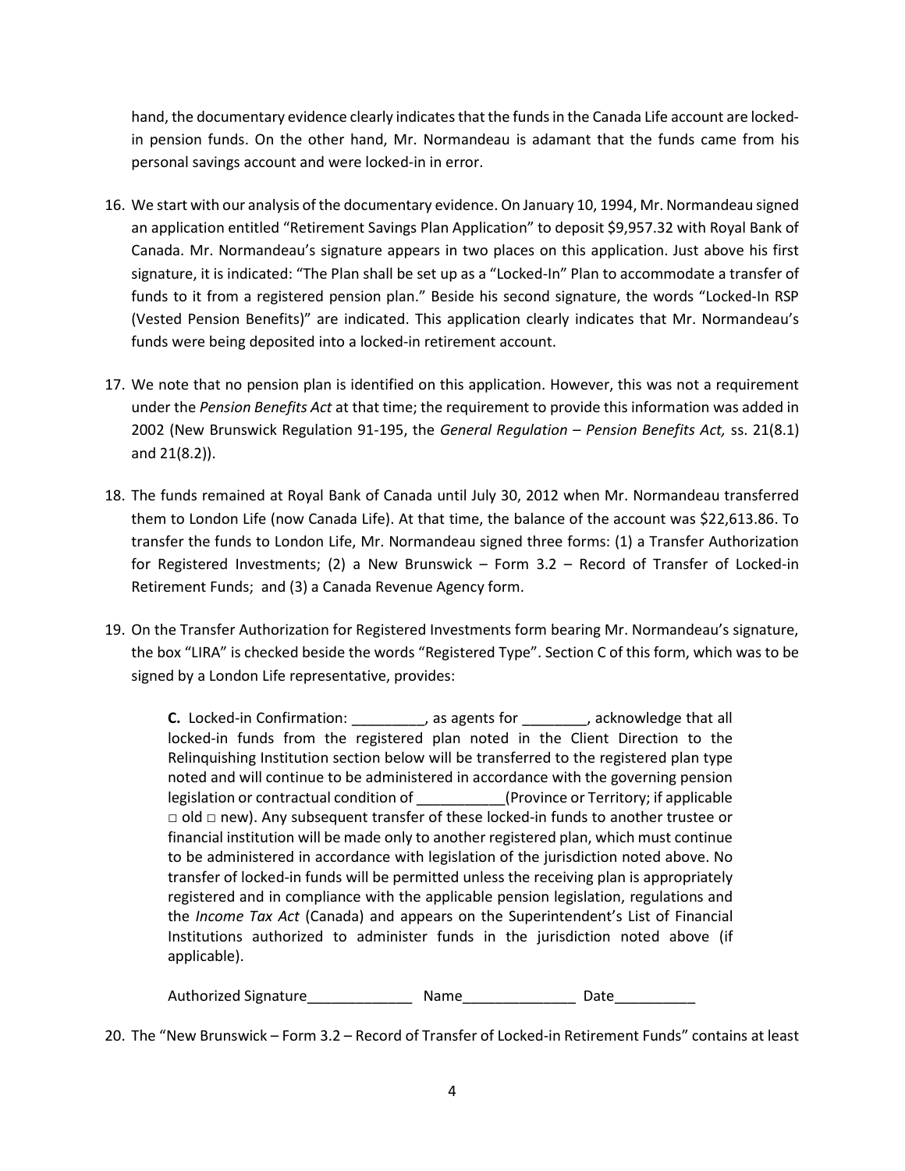hand, the documentary evidence clearly indicates that the funds in the Canada Life account are lockedin pension funds. On the other hand, Mr. Normandeau is adamant that the funds came from his personal savings account and were locked-in in error.

- 16. We start with our analysis of the documentary evidence. On January 10, 1994, Mr. Normandeau signed an application entitled "Retirement Savings Plan Application" to deposit \$9,957.32 with Royal Bank of Canada. Mr. Normandeau's signature appears in two places on this application. Just above his first signature, it is indicated: "The Plan shall be set up as a "Locked-In" Plan to accommodate a transfer of funds to it from a registered pension plan." Beside his second signature, the words "Locked-In RSP (Vested Pension Benefits)" are indicated. This application clearly indicates that Mr. Normandeau's funds were being deposited into a locked-in retirement account.
- 17. We note that no pension plan is identified on this application. However, this was not a requirement under the Pension Benefits Act at that time; the requirement to provide this information was added in 2002 (New Brunswick Regulation 91-195, the General Regulation – Pension Benefits Act, ss. 21(8.1) and 21(8.2)).
- 18. The funds remained at Royal Bank of Canada until July 30, 2012 when Mr. Normandeau transferred them to London Life (now Canada Life). At that time, the balance of the account was \$22,613.86. To transfer the funds to London Life, Mr. Normandeau signed three forms: (1) a Transfer Authorization for Registered Investments; (2) a New Brunswick – Form 3.2 – Record of Transfer of Locked-in Retirement Funds; and (3) a Canada Revenue Agency form.
- 19. On the Transfer Authorization for Registered Investments form bearing Mr. Normandeau's signature, the box "LIRA" is checked beside the words "Registered Type". Section C of this form, which was to be signed by a London Life representative, provides:

C. Locked-in Confirmation: \_\_\_\_\_\_\_\_\_, as agents for \_\_\_\_\_\_\_\_, acknowledge that all locked-in funds from the registered plan noted in the Client Direction to the Relinquishing Institution section below will be transferred to the registered plan type noted and will continue to be administered in accordance with the governing pension legislation or contractual condition of \_\_\_\_\_\_\_\_\_\_\_(Province or Territory; if applicable □ old □ new). Any subsequent transfer of these locked-in funds to another trustee or financial institution will be made only to another registered plan, which must continue to be administered in accordance with legislation of the jurisdiction noted above. No transfer of locked-in funds will be permitted unless the receiving plan is appropriately registered and in compliance with the applicable pension legislation, regulations and the Income Tax Act (Canada) and appears on the Superintendent's List of Financial Institutions authorized to administer funds in the jurisdiction noted above (if applicable).

Authorized Signature **Authorized Signature Name Date** 

20. The "New Brunswick – Form 3.2 – Record of Transfer of Locked-in Retirement Funds" contains at least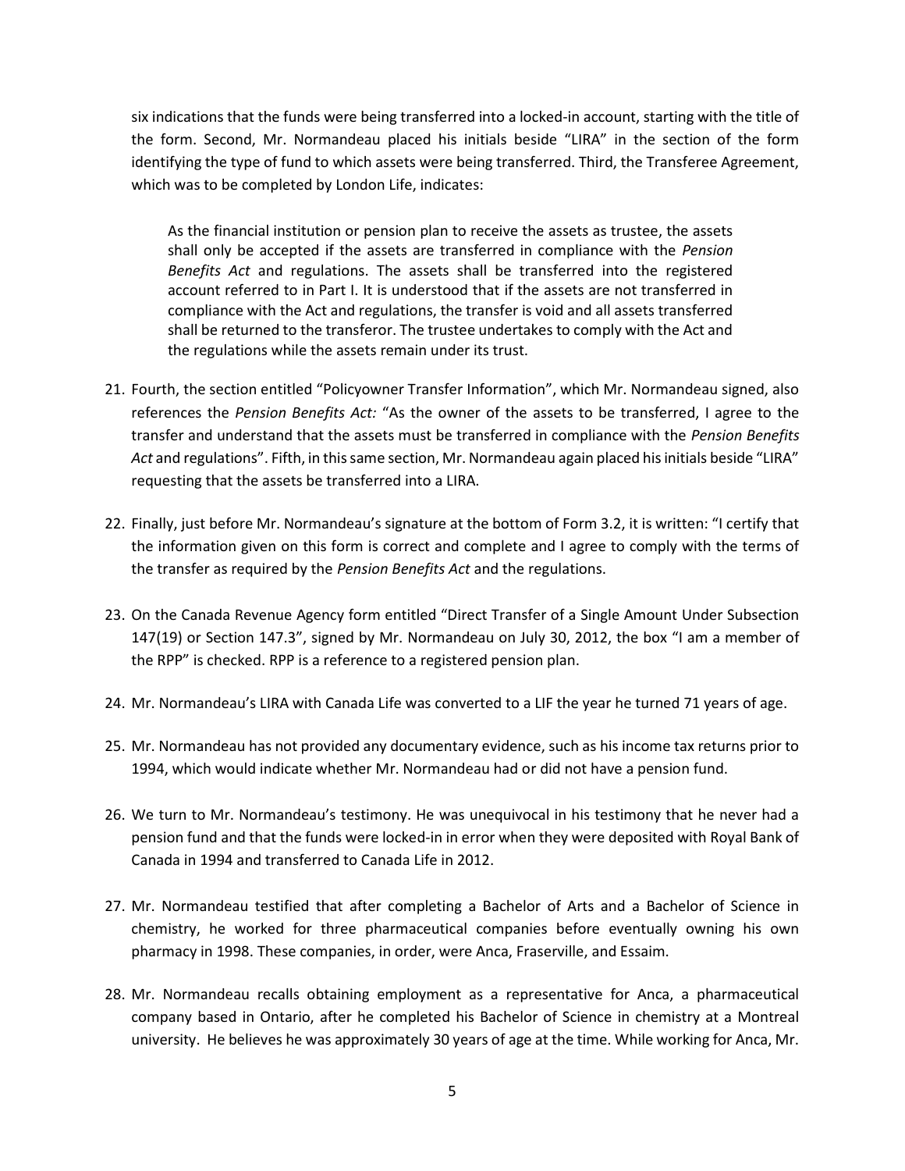six indications that the funds were being transferred into a locked-in account, starting with the title of the form. Second, Mr. Normandeau placed his initials beside "LIRA" in the section of the form identifying the type of fund to which assets were being transferred. Third, the Transferee Agreement, which was to be completed by London Life, indicates:

As the financial institution or pension plan to receive the assets as trustee, the assets shall only be accepted if the assets are transferred in compliance with the Pension Benefits Act and regulations. The assets shall be transferred into the registered account referred to in Part I. It is understood that if the assets are not transferred in compliance with the Act and regulations, the transfer is void and all assets transferred shall be returned to the transferor. The trustee undertakes to comply with the Act and the regulations while the assets remain under its trust.

- 21. Fourth, the section entitled "Policyowner Transfer Information", which Mr. Normandeau signed, also references the Pension Benefits Act: "As the owner of the assets to be transferred, I agree to the transfer and understand that the assets must be transferred in compliance with the Pension Benefits Act and regulations". Fifth, in this same section, Mr. Normandeau again placed his initials beside "LIRA" requesting that the assets be transferred into a LIRA.
- 22. Finally, just before Mr. Normandeau's signature at the bottom of Form 3.2, it is written: "I certify that the information given on this form is correct and complete and I agree to comply with the terms of the transfer as required by the Pension Benefits Act and the regulations.
- 23. On the Canada Revenue Agency form entitled "Direct Transfer of a Single Amount Under Subsection 147(19) or Section 147.3", signed by Mr. Normandeau on July 30, 2012, the box "I am a member of the RPP" is checked. RPP is a reference to a registered pension plan.
- 24. Mr. Normandeau's LIRA with Canada Life was converted to a LIF the year he turned 71 years of age.
- 25. Mr. Normandeau has not provided any documentary evidence, such as his income tax returns prior to 1994, which would indicate whether Mr. Normandeau had or did not have a pension fund.
- 26. We turn to Mr. Normandeau's testimony. He was unequivocal in his testimony that he never had a pension fund and that the funds were locked-in in error when they were deposited with Royal Bank of Canada in 1994 and transferred to Canada Life in 2012.
- 27. Mr. Normandeau testified that after completing a Bachelor of Arts and a Bachelor of Science in chemistry, he worked for three pharmaceutical companies before eventually owning his own pharmacy in 1998. These companies, in order, were Anca, Fraserville, and Essaim.
- 28. Mr. Normandeau recalls obtaining employment as a representative for Anca, a pharmaceutical company based in Ontario, after he completed his Bachelor of Science in chemistry at a Montreal university. He believes he was approximately 30 years of age at the time. While working for Anca, Mr.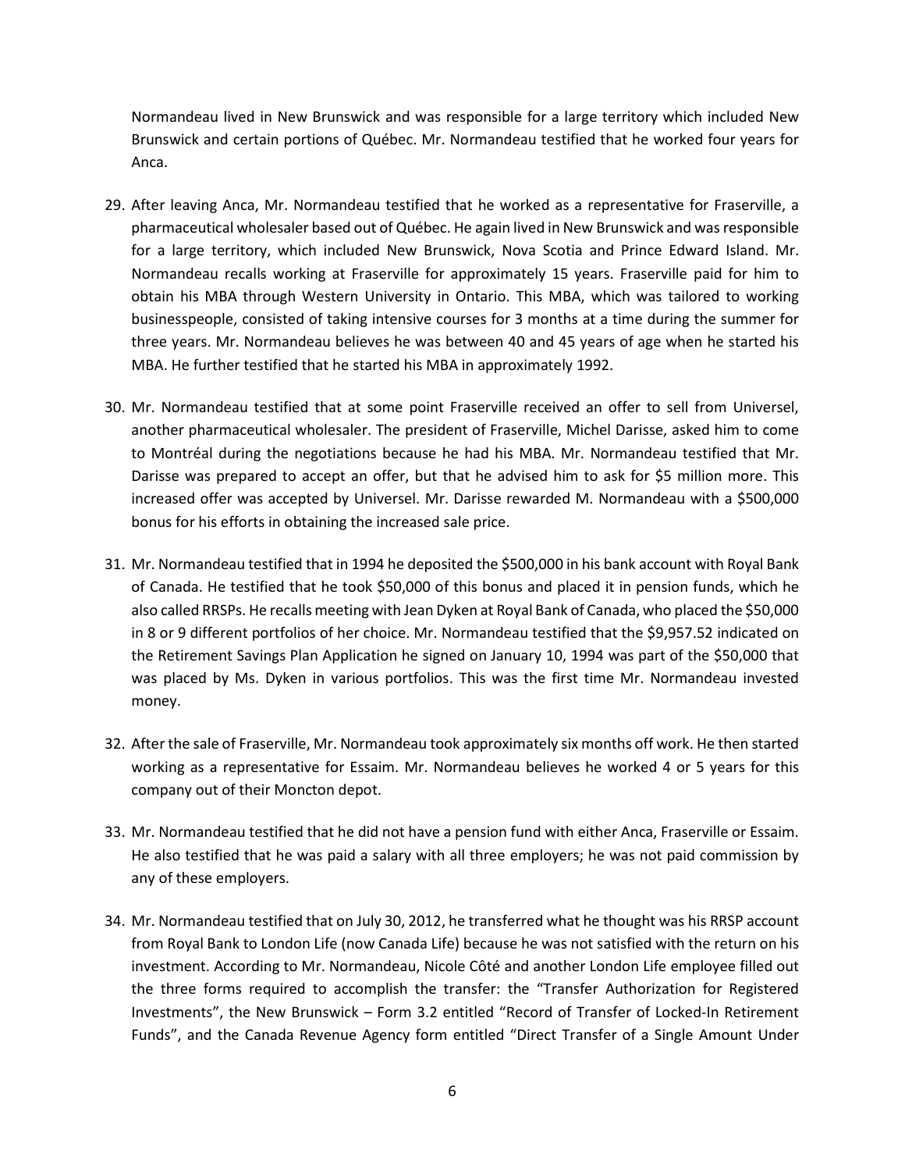Normandeau lived in New Brunswick and was responsible for a large territory which included New Brunswick and certain portions of Québec. Mr. Normandeau testified that he worked four years for Anca.

- 29. After leaving Anca, Mr. Normandeau testified that he worked as a representative for Fraserville, a pharmaceutical wholesaler based out of Québec. He again lived in New Brunswick and was responsible for a large territory, which included New Brunswick, Nova Scotia and Prince Edward Island. Mr. Normandeau recalls working at Fraserville for approximately 15 years. Fraserville paid for him to obtain his MBA through Western University in Ontario. This MBA, which was tailored to working businesspeople, consisted of taking intensive courses for 3 months at a time during the summer for three years. Mr. Normandeau believes he was between 40 and 45 years of age when he started his MBA. He further testified that he started his MBA in approximately 1992.
- 30. Mr. Normandeau testified that at some point Fraserville received an offer to sell from Universel, another pharmaceutical wholesaler. The president of Fraserville, Michel Darisse, asked him to come to Montréal during the negotiations because he had his MBA. Mr. Normandeau testified that Mr. Darisse was prepared to accept an offer, but that he advised him to ask for \$5 million more. This increased offer was accepted by Universel. Mr. Darisse rewarded M. Normandeau with a \$500,000 bonus for his efforts in obtaining the increased sale price.
- 31. Mr. Normandeau testified that in 1994 he deposited the \$500,000 in his bank account with Royal Bank of Canada. He testified that he took \$50,000 of this bonus and placed it in pension funds, which he also called RRSPs. He recalls meeting with Jean Dyken at Royal Bank of Canada, who placed the \$50,000 in 8 or 9 different portfolios of her choice. Mr. Normandeau testified that the \$9,957.52 indicated on the Retirement Savings Plan Application he signed on January 10, 1994 was part of the \$50,000 that was placed by Ms. Dyken in various portfolios. This was the first time Mr. Normandeau invested money.
- 32. After the sale of Fraserville, Mr. Normandeau took approximately six months off work. He then started working as a representative for Essaim. Mr. Normandeau believes he worked 4 or 5 years for this company out of their Moncton depot.
- 33. Mr. Normandeau testified that he did not have a pension fund with either Anca, Fraserville or Essaim. He also testified that he was paid a salary with all three employers; he was not paid commission by any of these employers.
- 34. Mr. Normandeau testified that on July 30, 2012, he transferred what he thought was his RRSP account from Royal Bank to London Life (now Canada Life) because he was not satisfied with the return on his investment. According to Mr. Normandeau, Nicole Côté and another London Life employee filled out the three forms required to accomplish the transfer: the "Transfer Authorization for Registered Investments", the New Brunswick – Form 3.2 entitled "Record of Transfer of Locked-In Retirement Funds", and the Canada Revenue Agency form entitled "Direct Transfer of a Single Amount Under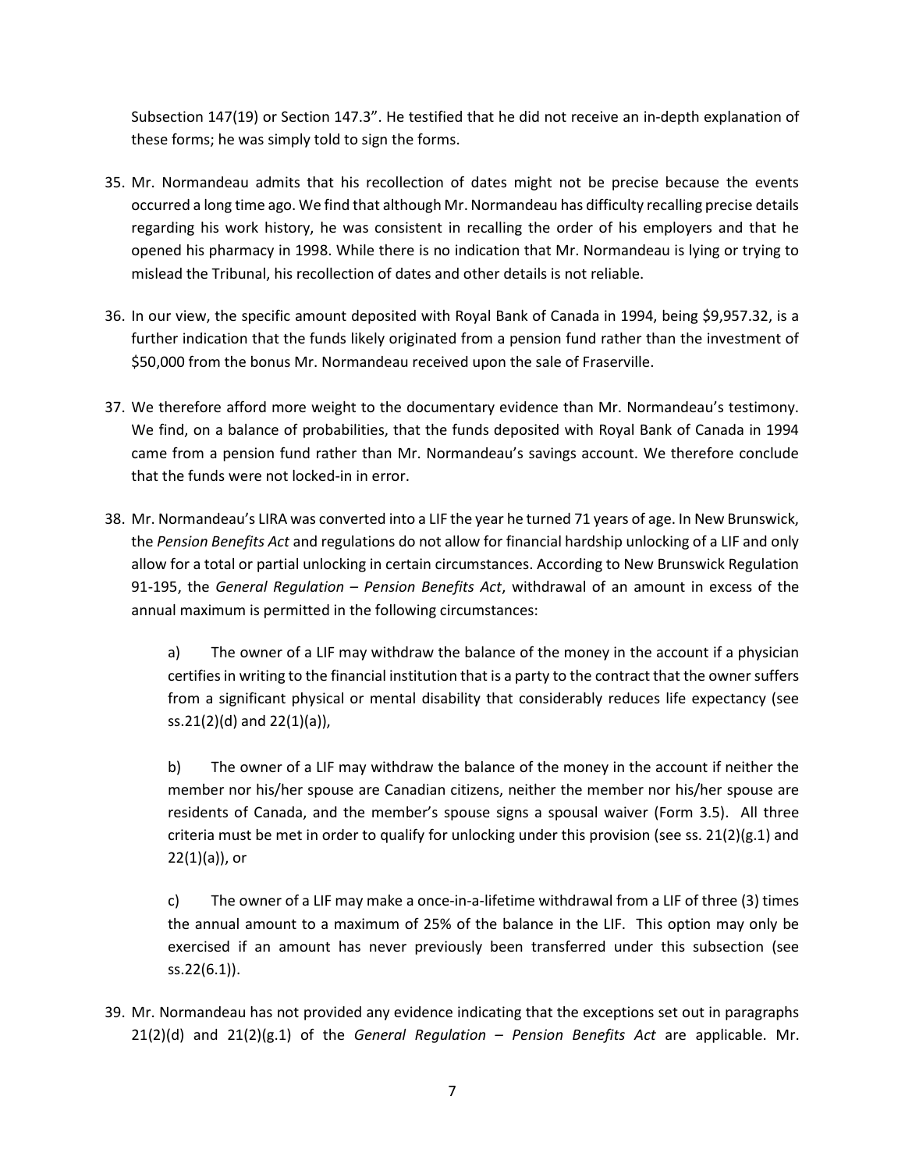Subsection 147(19) or Section 147.3". He testified that he did not receive an in-depth explanation of these forms; he was simply told to sign the forms.

- 35. Mr. Normandeau admits that his recollection of dates might not be precise because the events occurred a long time ago. We find that although Mr. Normandeau has difficulty recalling precise details regarding his work history, he was consistent in recalling the order of his employers and that he opened his pharmacy in 1998. While there is no indication that Mr. Normandeau is lying or trying to mislead the Tribunal, his recollection of dates and other details is not reliable.
- 36. In our view, the specific amount deposited with Royal Bank of Canada in 1994, being \$9,957.32, is a further indication that the funds likely originated from a pension fund rather than the investment of \$50,000 from the bonus Mr. Normandeau received upon the sale of Fraserville.
- 37. We therefore afford more weight to the documentary evidence than Mr. Normandeau's testimony. We find, on a balance of probabilities, that the funds deposited with Royal Bank of Canada in 1994 came from a pension fund rather than Mr. Normandeau's savings account. We therefore conclude that the funds were not locked-in in error.
- 38. Mr. Normandeau's LIRA was converted into a LIF the year he turned 71 years of age. In New Brunswick, the Pension Benefits Act and regulations do not allow for financial hardship unlocking of a LIF and only allow for a total or partial unlocking in certain circumstances. According to New Brunswick Regulation 91-195, the General Regulation – Pension Benefits Act, withdrawal of an amount in excess of the annual maximum is permitted in the following circumstances:

a) The owner of a LIF may withdraw the balance of the money in the account if a physician certifies in writing to the financial institution that is a party to the contract that the owner suffers from a significant physical or mental disability that considerably reduces life expectancy (see ss.21(2)(d) and 22(1)(a)),

b) The owner of a LIF may withdraw the balance of the money in the account if neither the member nor his/her spouse are Canadian citizens, neither the member nor his/her spouse are residents of Canada, and the member's spouse signs a spousal waiver (Form 3.5). All three criteria must be met in order to qualify for unlocking under this provision (see ss.  $21(2)(g.1)$  and  $22(1)(a)$ , or

c) The owner of a LIF may make a once-in-a-lifetime withdrawal from a LIF of three (3) times the annual amount to a maximum of 25% of the balance in the LIF. This option may only be exercised if an amount has never previously been transferred under this subsection (see ss.22(6.1)).

39. Mr. Normandeau has not provided any evidence indicating that the exceptions set out in paragraphs  $21(2)(d)$  and  $21(2)(g.1)$  of the General Regulation – Pension Benefits Act are applicable. Mr.